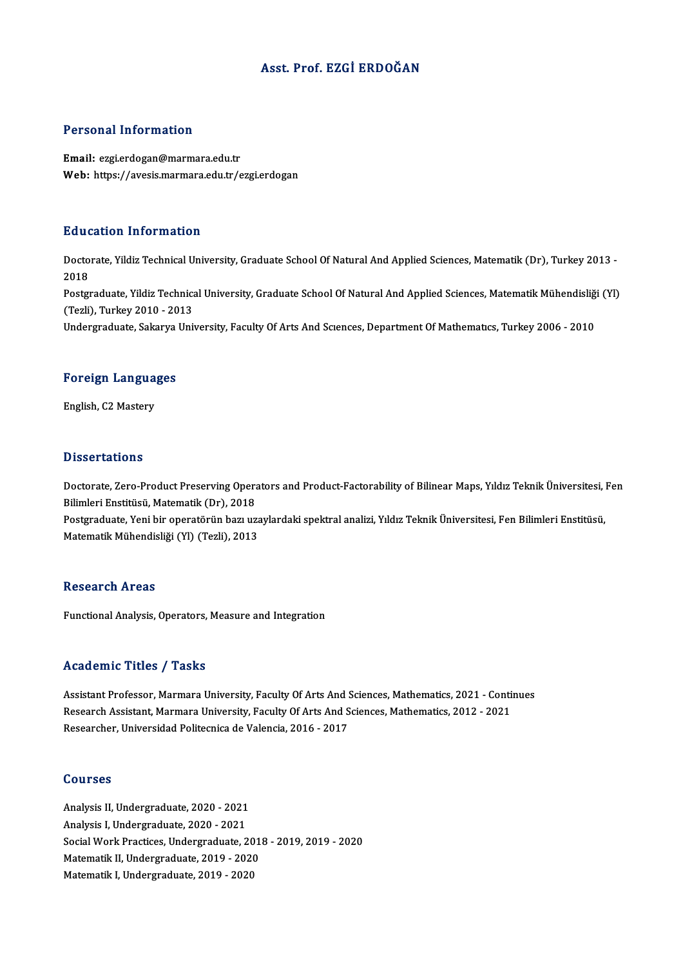#### Asst. Prof. EZGİ ERDOĞAN

#### Personal Information

Email: ezgi.erdogan@marmara.edu.tr Web: https://avesis.marmara.edu.tr/ezgi.erdogan

#### Education Information

**Education Information**<br>Doctorate, Yildiz Technical University, Graduate School Of Natural And Applied Sciences, Matematik (Dr), Turkey 2013 -<br>2018 Bata<br>Docto<br>2018 Doctorate, Yildiz Technical University, Graduate School Of Natural And Applied Sciences, Matematik (Dr), Turkey 2013 -<br>2018<br>Postgraduate, Yildiz Technical University, Graduate School Of Natural And Applied Sciences, Matema 2018<br>Postgraduate, Yildiz Technica<br>(Tezli), Turkey 2010 - 2013<br>Undergraduate, Sekarua Uni Postgraduate, Yildiz Technical University, Graduate School Of Natural And Applied Sciences, Matematik Mühendisliğ<br>(Tezli), Turkey 2010 - 2013<br>Undergraduate, Sakarya University, Faculty Of Arts And Sciences, Department Of M

### <sub>Undergraduate, Sakarya<br>Foreign Languages</sub> F<mark>oreign Langua</mark><br>English, C2 Mastery

English, C2 Mastery<br>Dissertations

Dissertations<br>Doctorate, Zero-Product Preserving Operators and Product-Factorability of Bilinear Maps, Yıldız Teknik Üniversitesi, Fen<br>Bilimleri Enstitüsü, Matamatik (Dr.), 2019 Bilimleri<br>Bilimleri Enstitüsü, Matematik (Dr), 2018<br>Bestaraduate Veni bir eneratörün begun Doctorate, Zero-Product Preserving Operators and Product-Factorability of Bilinear Maps, Yıldız Teknik Üniversitesi, İ<br>Bilimleri Enstitüsü, Matematik (Dr), 2018<br>Postgraduate, Yeni bir operatörün bazı uzaylardaki spektral a Bilimleri Enstitüsü, Matematik (Dr), 2018<br>Postgraduate, Yeni bir operatörün bazı uza<br>Matematik Mühendisliği (Yl) (Tezli), 2013

### Matematik Mühendisliği (Yl) (Tezli), 2013<br>Research Areas

Functional Analysis, Operators, Measure and Integration

#### Academic Titles / Tasks

Academic Titles / Tasks<br>Assistant Professor, Marmara University, Faculty Of Arts And Sciences, Mathematics, 2021 - Continues<br>Research Assistant Marmara University, Faculty Of Arts And Sciences, Mathematics, 2021, 2021 Research Assistant Professor, Marmara University, Faculty Of Arts And Sciences, Mathematics, 2021 - Conti<br>Research Assistant, Marmara University, Faculty Of Arts And Sciences, Mathematics, 2012 - 2021<br>Researcher, Universid Research Assistant, Marmara University, Faculty Of Arts And Sciences, Mathematics, 2012 - 2021<br>Researcher, Universidad Politecnica de Valencia, 2016 - 2017

#### Courses

**Courses<br>Analysis II, Undergraduate, 2020 - 2021<br>Analysis I, Undergraduate, 2020 - 2021** abarisses<br>Analysis II, Undergraduate, 2020 - 2021<br>Analysis I, Undergraduate, 2020 - 2021<br>Segial Work Pregtiese, Undergraduate, 2 Analysis I, Undergraduate, 2020 - 2021<br>Social Work Practices, Undergraduate, 2018 - 2019, 2019 - 2020 Analysis I, Undergraduate, 2020 - 2021<br>Social Work Practices, Undergraduate, 201<br>Matematik II, Undergraduate, 2019 - 2020<br>Matematik I, Undergraduate, 2019 - 2020 Social Work Practices, Undergraduate, 201<br>Matematik II, Undergraduate, 2019 - 2020<br>Matematik I, Undergraduate, 2019 - 2020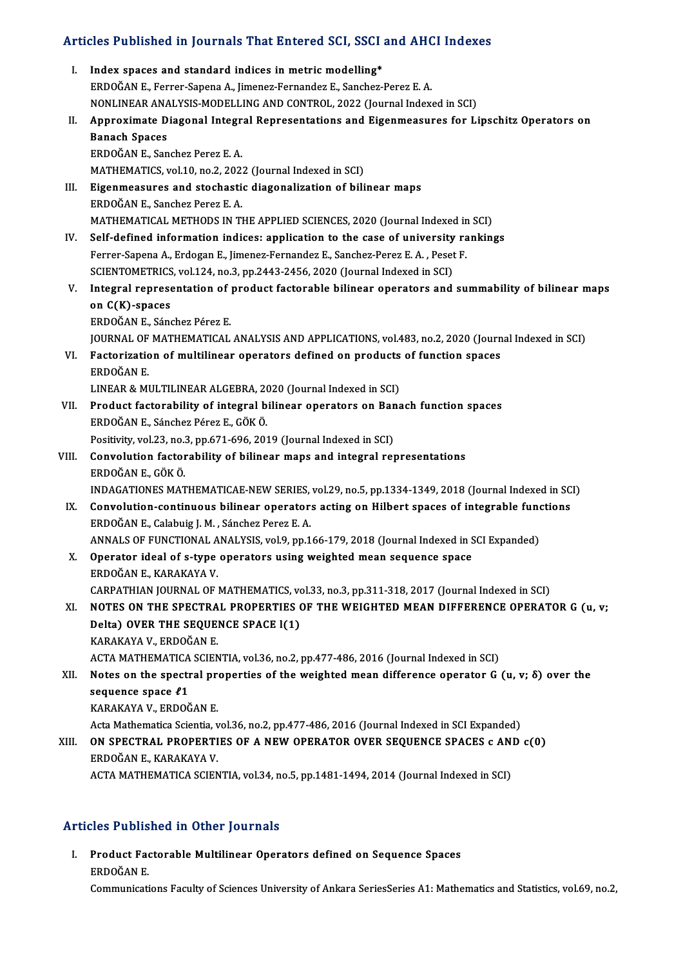# Articles Published in Journals That Entered SCI, SSCI and AHCI Indexes

| Articles Published in Journals That Entered SCI, SSCI and AHCI Indexes |                                                                                                      |
|------------------------------------------------------------------------|------------------------------------------------------------------------------------------------------|
| L.                                                                     | Index spaces and standard indices in metric modelling*                                               |
|                                                                        | ERDOĞAN E., Ferrer-Sapena A., Jimenez-Fernandez E., Sanchez-Perez E. A.                              |
|                                                                        | NONLINEAR ANALYSIS-MODELLING AND CONTROL, 2022 (Journal Indexed in SCI)                              |
| П.                                                                     | Approximate Diagonal Integral Representations and Eigenmeasures for Lipschitz Operators on           |
|                                                                        | <b>Banach Spaces</b>                                                                                 |
|                                                                        | ERDOĞAN E., Sanchez Perez E.A.                                                                       |
|                                                                        | MATHEMATICS, vol.10, no.2, 2022 (Journal Indexed in SCI)                                             |
| Ш.                                                                     | Eigenmeasures and stochastic diagonalization of bilinear maps                                        |
|                                                                        | ERDOĞAN E., Sanchez Perez E.A.                                                                       |
|                                                                        | MATHEMATICAL METHODS IN THE APPLIED SCIENCES, 2020 (Journal Indexed in SCI)                          |
| IV.                                                                    | Self-defined information indices: application to the case of university rankings                     |
|                                                                        | Ferrer-Sapena A., Erdogan E., Jimenez-Fernandez E., Sanchez-Perez E. A., Peset F.                    |
|                                                                        | SCIENTOMETRICS, vol.124, no.3, pp.2443-2456, 2020 (Journal Indexed in SCI)                           |
| V.                                                                     | Integral representation of product factorable bilinear operators and summability of bilinear maps    |
|                                                                        | on C(K)-spaces                                                                                       |
|                                                                        | ERDOĞAN E., Sánchez Pérez E.                                                                         |
|                                                                        | JOURNAL OF MATHEMATICAL ANALYSIS AND APPLICATIONS, vol.483, no.2, 2020 (Journal Indexed in SCI)      |
| VI.                                                                    | Factorization of multilinear operators defined on products of function spaces                        |
|                                                                        | ERDOĞAN E.                                                                                           |
|                                                                        | LINEAR & MULTILINEAR ALGEBRA, 2020 (Journal Indexed in SCI)                                          |
| VII.                                                                   | Product factorability of integral bilinear operators on Banach function spaces                       |
|                                                                        | ERDOĞAN E, Sánchez Pérez E, GÖK Ö.                                                                   |
|                                                                        | Positivity, vol.23, no.3, pp.671-696, 2019 (Journal Indexed in SCI)                                  |
| VIII.                                                                  | Convolution factorability of bilinear maps and integral representations                              |
|                                                                        | ERDOĞAN E, GÖK Ö.                                                                                    |
|                                                                        | INDAGATIONES MATHEMATICAE-NEW SERIES, vol.29, no.5, pp.1334-1349, 2018 (Journal Indexed in SCI)      |
| IX.                                                                    | Convolution-continuous bilinear operators acting on Hilbert spaces of integrable functions           |
|                                                                        | ERDOĞAN E., Calabuig J. M., Sánchez Perez E. A.                                                      |
|                                                                        | ANNALS OF FUNCTIONAL ANALYSIS, vol.9, pp.166-179, 2018 (Journal Indexed in SCI Expanded)             |
| X.                                                                     | Operator ideal of s-type operators using weighted mean sequence space                                |
|                                                                        | ERDOĞAN E, KARAKAYA V.                                                                               |
|                                                                        | CARPATHIAN JOURNAL OF MATHEMATICS, vol.33, no.3, pp.311-318, 2017 (Journal Indexed in SCI)           |
| XI.                                                                    | NOTES ON THE SPECTRAL PROPERTIES OF THE WEIGHTED MEAN DIFFERENCE OPERATOR G (u, v;                   |
|                                                                        | Delta) OVER THE SEQUENCE SPACE 1(1)                                                                  |
|                                                                        | KARAKAYA V., ERDOĞAN E.                                                                              |
|                                                                        | ACTA MATHEMATICA SCIENTIA, vol.36, no.2, pp.477-486, 2016 (Journal Indexed in SCI)                   |
| XII.                                                                   | Notes on the spectral properties of the weighted mean difference operator $G(u, v; \delta)$ over the |
|                                                                        | sequence space $\ell$ 1                                                                              |
|                                                                        | KARAKAYA V., ERDOĞAN E.                                                                              |
|                                                                        | Acta Mathematica Scientia, vol.36, no.2, pp.477-486, 2016 (Journal Indexed in SCI Expanded)          |
| XIII.                                                                  | ON SPECTRAL PROPERTIES OF A NEW OPERATOR OVER SEQUENCE SPACES c AND c(0)                             |
|                                                                        | ERDOĞAN E, KARAKAYA V                                                                                |
|                                                                        | ACTA MATHEMATICA SCIENTIA, vol.34, no.5, pp.1481-1494, 2014 (Journal Indexed in SCI)                 |
|                                                                        |                                                                                                      |

### Articles Published in Other Journals

rticles Published in Other Journals<br>I. Product Factorable Multilinear Operators defined on Sequence Spaces<br>FRDOČAN E Free Fubrie<br>Product Face<br>ERDOĞAN E.

ERDOĞAN E.<br>Communications Faculty of Sciences University of Ankara SeriesSeries A1: Mathematics and Statistics, vol.69, no.2,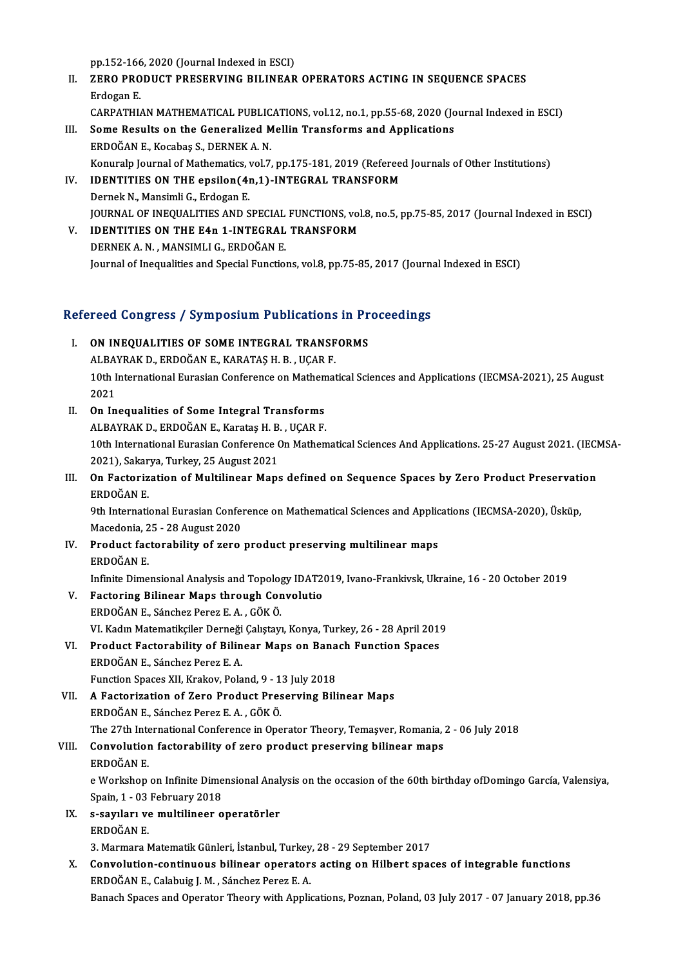pp.152-166, 2020 (Journal Indexed in ESCI)

- pp.152-166, 2020 (Journal Indexed in ESCI)<br>II. ZERO PRODUCT PRESERVING BILINEAR OPERATORS ACTING IN SEQUENCE SPACES<br>Frdogen F PP.152-166<br><mark>ZERO PRO</mark><br>Erdogan E.<br>CAPPATHL Erdogan E.<br>CARPATHIAN MATHEMATICAL PUBLICATIONS, vol.12, no.1, pp.55-68, 2020 (Journal Indexed in ESCI) Erdogan E.<br>CARPATHIAN MATHEMATICAL PUBLICATIONS, vol.12, no.1, pp.55-68, 2020 (Jo<br>III. Some Results on the Generalized Mellin Transforms and Applications<br>FRDOČAN E KOSPRES, DERNEKA N
- CARPATHIAN MATHEMATICAL PUBLIC<br>Some Results on the Generalized M<br>ERDOĞAN E., Kocabaş S., DERNEK A. N.<br>Konuraln Journal of Mathematics vol 7. Some Results on the Generalized Mellin Transforms and Applications<br>ERDOĞAN E., Kocabaş S., DERNEK A. N.<br>Konuralp Journal of Mathematics, vol.7, pp.175-181, 2019 (Refereed Journals of Other Institutions)<br>IDENTITIES ON THE O ERDOĞAN E., Kocabaş S., DERNEK A. N.<br>Konuralp Journal of Mathematics, vol.7, pp.175-181, 2019 (Referee<br>IV. IDENTITIES ON THE epsilon(4n,1)-INTEGRAL TRANSFORM<br>Dernek N., Mansimli G., Erdogan E.
- Konuralp Journal of Mathematics, v<br>IDENTITIES ON THE epsilon (4)<br>Dernek N., Mansimli G., Erdogan E.<br>JOUPNAL OF INFOUALITIES AND S IDENTITIES ON THE epsilon(4n,1)-INTEGRAL TRANSFORM<br>Dernek N., Mansimli G., Erdogan E.<br>JOURNAL OF INEQUALITIES AND SPECIAL FUNCTIONS, vol.8, no.5, pp.75-85, 2017 (Journal Indexed in ESCI)<br>IDENTITIES ON THE F4n 1 INTECRAL TR Dernek N., Mansimli G., Erdogan E.<br>JOURNAL OF INEQUALITIES AND SPECIAL FUNCTIONS, vol<br>V. IDENTITIES ON THE E4n 1-INTEGRAL TRANSFORM
- JOURNAL OF INEQUALITIES AND SPECIAL<br>IDENTITIES ON THE E4n 1-INTEGRAL<br>DERNEK A. N. , MANSIMLI G., ERDOĞAN E.<br>Journal of Inequalities and Special Eunction V. IDENTITIES ON THE E4n 1-INTEGRAL TRANSFORM<br>DERNEK A. N., MANSIMLI G., ERDOĞAN E.<br>Journal of Inequalities and Special Functions, vol.8, pp.75-85, 2017 (Journal Indexed in ESCI)

# Journal of Inequalities and Special Functions, vol.8, pp./5-85, 2017 (Journa<br>Refereed Congress / Symposium Publications in Proceedings

| Refereed Congress / Symposium Publications in Proceedings |                                                                                                               |
|-----------------------------------------------------------|---------------------------------------------------------------------------------------------------------------|
| L.                                                        | ON INEQUALITIES OF SOME INTEGRAL TRANSFORMS                                                                   |
|                                                           | ALBAYRAK D., ERDOĞAN E., KARATAŞ H. B., UÇAR F.                                                               |
|                                                           | 10th International Eurasian Conference on Mathematical Sciences and Applications (IECMSA-2021), 25 August     |
|                                                           | 2021                                                                                                          |
| Н.                                                        | On Inequalities of Some Integral Transforms                                                                   |
|                                                           | ALBAYRAK D., ERDOĞAN E., Karataş H. B., UÇAR F.                                                               |
|                                                           | 10th International Eurasian Conference On Mathematical Sciences And Applications. 25-27 August 2021. (IECMSA- |
|                                                           | 2021), Sakarya, Turkey, 25 August 2021                                                                        |
| III.                                                      | On Factorization of Multilinear Maps defined on Sequence Spaces by Zero Product Preservation                  |
|                                                           | ERDOĞAN E                                                                                                     |
|                                                           | 9th International Eurasian Conference on Mathematical Sciences and Applications (IECMSA-2020), Üsküp,         |
|                                                           | Macedonia, 25 - 28 August 2020                                                                                |
| IV.                                                       | Product factorability of zero product preserving multilinear maps                                             |
|                                                           | ERDOĞAN E                                                                                                     |
|                                                           | Infinite Dimensional Analysis and Topology IDAT2019, Ivano-Frankivsk, Ukraine, 16 - 20 October 2019           |
| V.                                                        | <b>Factoring Bilinear Maps through Convolutio</b>                                                             |
|                                                           | ERDOĞAN E., Sánchez Perez E. A., GÖK Ö.                                                                       |
|                                                           | VI. Kadın Matematikçiler Derneği Çalıştayı, Konya, Turkey, 26 - 28 April 2019                                 |
| VI.                                                       | Product Factorability of Bilinear Maps on Banach Function Spaces                                              |
|                                                           | ERDOĞAN E., Sánchez Perez E. A.                                                                               |
|                                                           | Function Spaces XII, Krakov, Poland, 9 - 13 July 2018                                                         |
| VII.                                                      | A Factorization of Zero Product Preserving Bilinear Maps                                                      |
|                                                           | ERDOĞAN E., Sánchez Perez E. A., GÖK Ö.                                                                       |
|                                                           | The 27th International Conference in Operator Theory, Temaşver, Romania, 2 - 06 July 2018                     |
| VIII.                                                     | Convolution factorability of zero product preserving bilinear maps                                            |
|                                                           | ERDOĞAN E                                                                                                     |
|                                                           | e Workshop on Infinite Dimensional Analysis on the occasion of the 60th birthday ofDomingo García, Valensiya, |
|                                                           | Spain, 1 - 03 February 2018                                                                                   |
|                                                           | IX. s-sayıları ve multilineer operatörler                                                                     |
|                                                           | ERDOĞAN E                                                                                                     |
|                                                           | 3. Marmara Matematik Günleri, İstanbul, Turkey, 28 - 29 September 2017                                        |
| X.                                                        | Convolution-continuous bilinear operators acting on Hilbert spaces of integrable functions                    |
|                                                           | ERDOĞAN E., Calabuig J. M., Sánchez Perez E. A.                                                               |
|                                                           | Banach Spaces and Operator Theory with Applications, Poznan, Poland, 03 July 2017 - 07 January 2018, pp.36    |